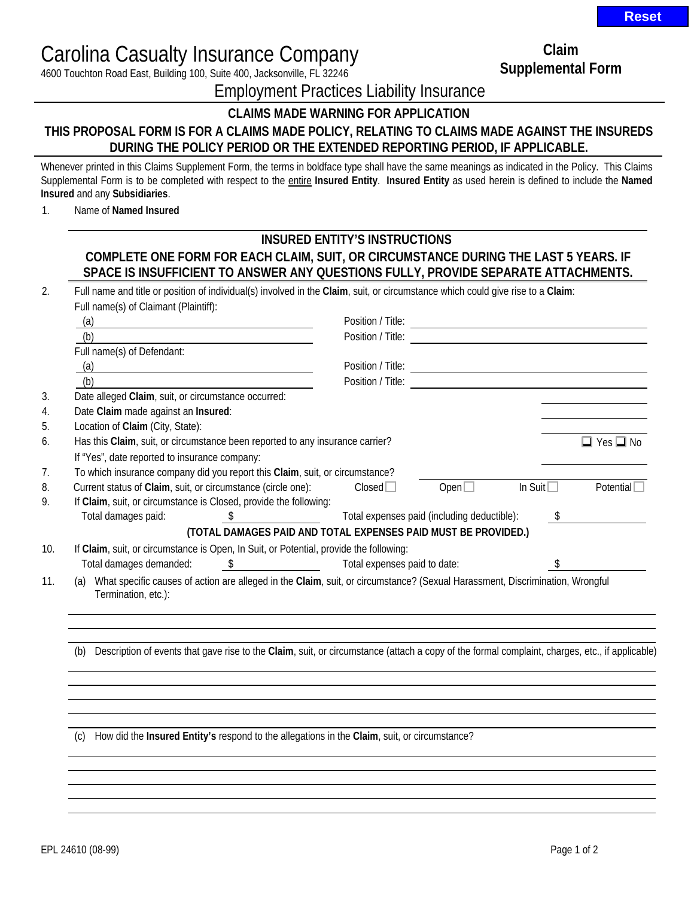Carolina Casualty Insurance Company

4600 Touchton Road East, Building 100, Suite 400, Jacksonville, FL 32246

**Claim Supplemental Form** 

Employment Practices Liability Insurance

## **CLAIMS MADE WARNING FOR APPLICATION**

## **THIS PROPOSAL FORM IS FOR A CLAIMS MADE POLICY, RELATING TO CLAIMS MADE AGAINST THE INSUREDS DURING THE POLICY PERIOD OR THE EXTENDED REPORTING PERIOD, IF APPLICABLE.**

Whenever printed in this Claims Supplement Form, the terms in boldface type shall have the same meanings as indicated in the Policy. This Claims Supplemental Form is to be completed with respect to the entire **Insured Entity**. **Insured Entity** as used herein is defined to include the **Named Insured** and any **Subsidiaries**.

1. Name of **Named Insured**

## **INSURED ENTITY'S INSTRUCTIONS COMPLETE ONE FORM FOR EACH CLAIM, SUIT, OR CIRCUMSTANCE DURING THE LAST 5 YEARS. IF SPACE IS INSUFFICIENT TO ANSWER ANY QUESTIONS FULLY, PROVIDE SEPARATE ATTACHMENTS.**

| (a)                                                                                    |                                                                                                                                                | Position / Title:                           |                |                   |                        |
|----------------------------------------------------------------------------------------|------------------------------------------------------------------------------------------------------------------------------------------------|---------------------------------------------|----------------|-------------------|------------------------|
| (b)                                                                                    |                                                                                                                                                | Position / Title:                           |                |                   |                        |
| Full name(s) of Defendant:                                                             |                                                                                                                                                |                                             |                |                   |                        |
| (a)<br><u> 1980 - Johann Barbara, martxa amerikan personal (h. 1980).</u>              |                                                                                                                                                |                                             |                |                   |                        |
| (b)                                                                                    |                                                                                                                                                | Position / Title:                           |                |                   |                        |
| Date alleged Claim, suit, or circumstance occurred:                                    |                                                                                                                                                |                                             |                |                   |                        |
| Date Claim made against an Insured:                                                    |                                                                                                                                                |                                             |                |                   |                        |
| Location of Claim (City, State):                                                       |                                                                                                                                                |                                             |                |                   |                        |
| Has this Claim, suit, or circumstance been reported to any insurance carrier?          |                                                                                                                                                |                                             |                |                   | $\Box$ Yes $\Box$ No   |
| If "Yes", date reported to insurance company:                                          |                                                                                                                                                |                                             |                |                   |                        |
| To which insurance company did you report this Claim, suit, or circumstance?           |                                                                                                                                                |                                             |                |                   |                        |
| Current status of Claim, suit, or circumstance (circle one):                           |                                                                                                                                                | Closed                                      | Open $\square$ | In Suit $\square$ | Potential <sup>[</sup> |
| If Claim, suit, or circumstance is Closed, provide the following:                      |                                                                                                                                                |                                             |                |                   |                        |
| Total damages paid:                                                                    | $\frac{1}{2}$                                                                                                                                  | Total expenses paid (including deductible): |                | \$                |                        |
|                                                                                        | (TOTAL DAMAGES PAID AND TOTAL EXPENSES PAID MUST BE PROVIDED.)                                                                                 |                                             |                |                   |                        |
| If Claim, suit, or circumstance is Open, In Suit, or Potential, provide the following: |                                                                                                                                                |                                             |                |                   |                        |
| Total damages demanded:                                                                | \$                                                                                                                                             | Total expenses paid to date:                |                | \$                |                        |
| (a)                                                                                    | What specific causes of action are alleged in the Claim, suit, or circumstance? (Sexual Harassment, Discrimination, Wrongful                   |                                             |                |                   |                        |
| Termination, etc.):                                                                    |                                                                                                                                                |                                             |                |                   |                        |
|                                                                                        |                                                                                                                                                |                                             |                |                   |                        |
|                                                                                        |                                                                                                                                                |                                             |                |                   |                        |
|                                                                                        |                                                                                                                                                |                                             |                |                   |                        |
| (b)                                                                                    | Description of events that gave rise to the Claim, suit, or circumstance (attach a copy of the formal complaint, charges, etc., if applicable) |                                             |                |                   |                        |
|                                                                                        |                                                                                                                                                |                                             |                |                   |                        |
|                                                                                        |                                                                                                                                                |                                             |                |                   |                        |
|                                                                                        |                                                                                                                                                |                                             |                |                   |                        |
|                                                                                        |                                                                                                                                                |                                             |                |                   |                        |
|                                                                                        |                                                                                                                                                |                                             |                |                   |                        |
| (c)                                                                                    | How did the Insured Entity's respond to the allegations in the Claim, suit, or circumstance?                                                   |                                             |                |                   |                        |

**Reset**